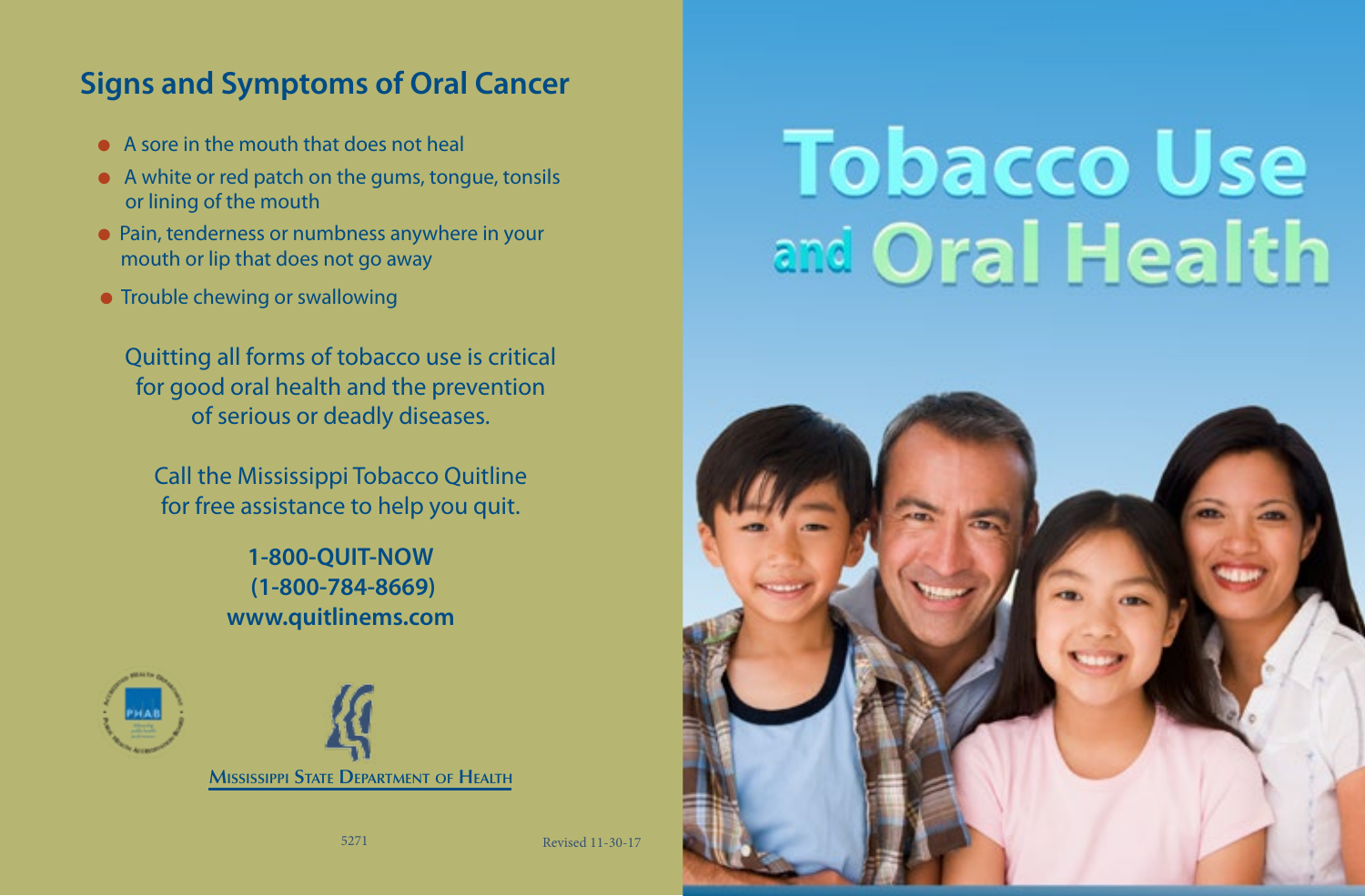## **Signs and Symptoms of Oral Cancer**

- **A sore in the mouth that does not heal**
- $\bullet$  A white or red patch on the gums, tongue, tonsils or lining of the mouth
- Pain, tenderness or numbness anywhere in your mouth or lip that does not go away
- **Trouble chewing or swallowing**

Quitting all forms of tobacco use is critical for good oral health and the prevention of serious or deadly diseases.

Call the Mississippi Tobacco Quitline for free assistance to help you quit.

> **1-800-QUIT-NOW (1-800-784-8669) www.quitlinems.com**



## **Tobacco Use** and Oral Health



5271 Revised 11-30-17